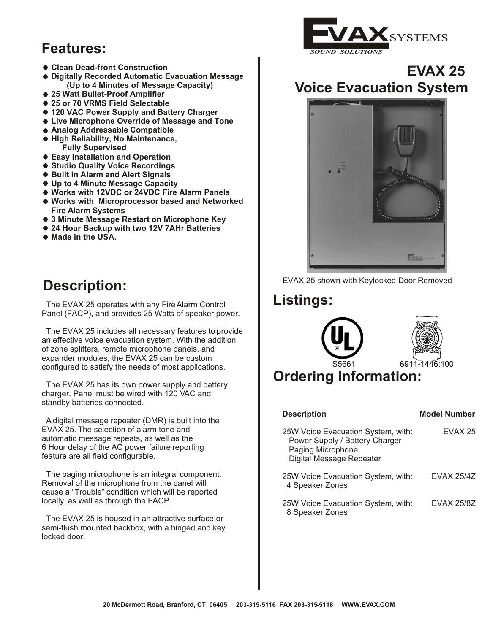## **Features:**

- **Clean Dead-front Construction**
- **Digitally Recorded Automatic Evacuation Message (Up to 4 Minutes of Message Capacity)**
- **25 Watt Bullet-Proof Amplifier**
- **25 or 70 VRMS Field Selectable**
- **120 VAC Power Supply and Battery Charger**
- **Live Microphone Override of Message and Tone**
- **Analog Addressable Compatible**
- **High Reliability, No Maintenance, Fully Supervised**
- **Easy Installation and Operation**
- **Studio Quality Voice Recordings**
- **Built in Alarm and Alert Signals**
- **Up to 4 Minute Message Capacity**
- **Works with 12VDC or 24VDC Fire Alarm Panels**
- **Works with Microprocessor based and Networked Fire Alarm Systems**
- **3 Minute Message Restart on Microphone Key**
- **24 Hour Backup with two 12V 7AHr Batteries**
- **Made in the USA.**

## **Description:**

 The EVAX 25 operates with any Fire Alarm Control Panel (FACP), and provides 25 Watts of speaker power.

 The EVAX 25 includes all necessary features to provide an effective voice evacuation system. With the addition of zone splitters, remote m icrophone panels, and expander modules, the EVAX 25 can be custom configured to satisfy the needs of most applications.

The EVAX 25 has its own power supply and battery charger. Panel must be wired with 120 VAC and standby batteries connected.

 A digital message repeater (DMR) is built into the EVAX 25. The selection of alarm tone and automatic message repeats, as well as the 6 Hour delay of the AC power failure reporting feature are all field configurable.

 The paging microphone is an integral component. Removal of the microphone from the panel will cause a "Trouble" condition which will be reported locally, as well as through the FACP.

 The EVAX 25 is housed in an attractive surface or semi-flush mounted backbox, with a hinged and key locked door.

*SOUND SOLUTIONS*

#### **EVAX 25 Voice Evacuation System**

**SYSTEMS** 





# **Listings:**





## **Ordering Information:**

| <b>Description</b>                                                                                                    | <b>Model Number</b> |
|-----------------------------------------------------------------------------------------------------------------------|---------------------|
| 25W Voice Evacuation System, with:<br>Power Supply / Battery Charger<br>Paging Microphone<br>Digital Message Repeater | EVAX 25             |
| 25W Voice Evacuation System, with:<br>4 Speaker Zones                                                                 | <b>FVAX 25/47</b>   |
| 25W Voice Evacuation System, with:<br>8 Speaker Zones                                                                 | <b>FVAX 25/87</b>   |